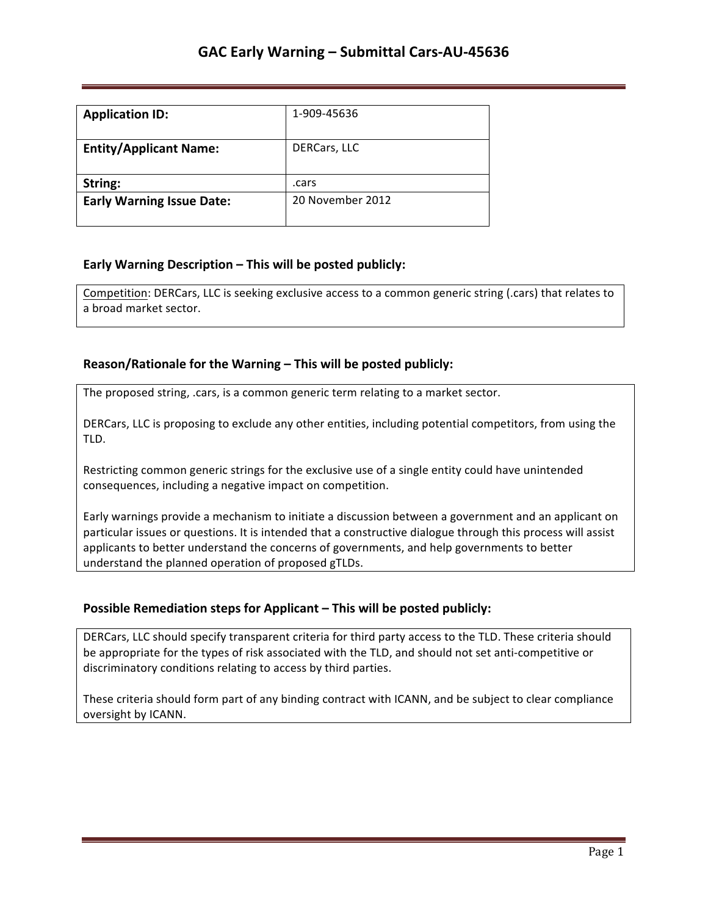| <b>Application ID:</b>           | 1-909-45636      |
|----------------------------------|------------------|
| <b>Entity/Applicant Name:</b>    | DERCars, LLC     |
| String:                          | .cars            |
| <b>Early Warning Issue Date:</b> | 20 November 2012 |

## **Early Warning Description – This will be posted publicly:**

Competition: DERCars, LLC is seeking exclusive access to a common generic string (.cars) that relates to a broad market sector.

### **Reason/Rationale for the Warning – This will be posted publicly:**

The proposed string, .cars, is a common generic term relating to a market sector.

DERCars, LLC is proposing to exclude any other entities, including potential competitors, from using the TLD. 

Restricting common generic strings for the exclusive use of a single entity could have unintended consequences, including a negative impact on competition.

Early warnings provide a mechanism to initiate a discussion between a government and an applicant on particular issues or questions. It is intended that a constructive dialogue through this process will assist applicants to better understand the concerns of governments, and help governments to better understand the planned operation of proposed gTLDs.

### **Possible Remediation steps for Applicant – This will be posted publicly:**

DERCars, LLC should specify transparent criteria for third party access to the TLD. These criteria should be appropriate for the types of risk associated with the TLD, and should not set anti-competitive or discriminatory conditions relating to access by third parties.

These criteria should form part of any binding contract with ICANN, and be subject to clear compliance oversight by ICANN.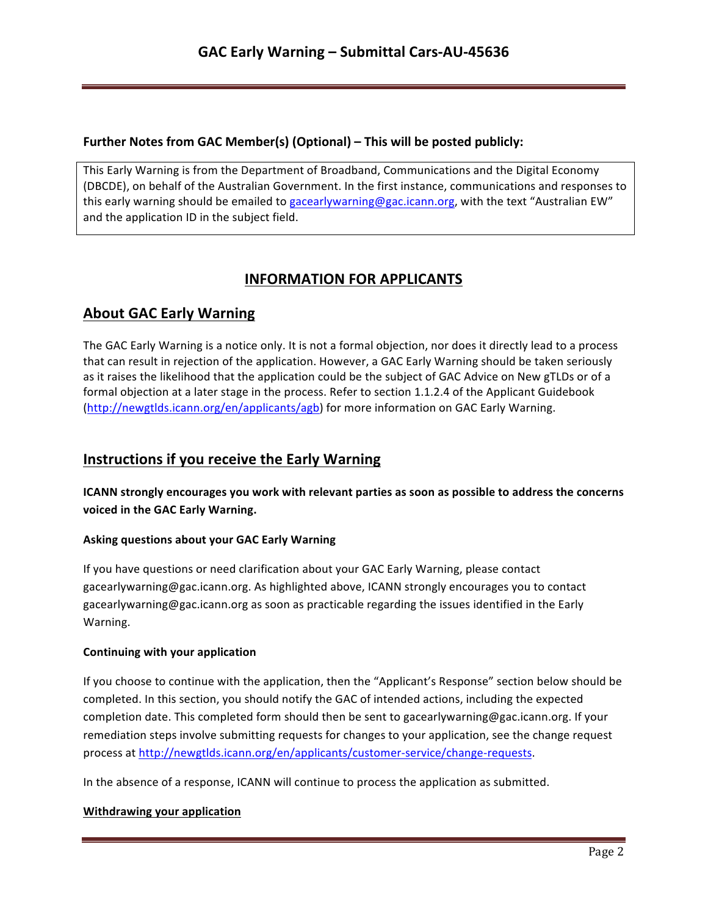### **Further Notes from GAC Member(s) (Optional) – This will be posted publicly:**

This Early Warning is from the Department of Broadband, Communications and the Digital Economy (DBCDE), on behalf of the Australian Government. In the first instance, communications and responses to this early warning should be emailed to gacearlywarning@gac.icann.org, with the text "Australian EW" and the application ID in the subject field.

# **INFORMATION FOR APPLICANTS**

# **About GAC Early Warning**

The GAC Early Warning is a notice only. It is not a formal objection, nor does it directly lead to a process that can result in rejection of the application. However, a GAC Early Warning should be taken seriously as it raises the likelihood that the application could be the subject of GAC Advice on New gTLDs or of a formal objection at a later stage in the process. Refer to section 1.1.2.4 of the Applicant Guidebook (http://newgtlds.icann.org/en/applicants/agb) for more information on GAC Early Warning.

# **Instructions if you receive the Early Warning**

**ICANN** strongly encourages you work with relevant parties as soon as possible to address the concerns voiced in the GAC Early Warning.

### **Asking questions about your GAC Early Warning**

If you have questions or need clarification about your GAC Early Warning, please contact gacearlywarning@gac.icann.org. As highlighted above, ICANN strongly encourages you to contact gacearlywarning@gac.icann.org as soon as practicable regarding the issues identified in the Early Warning. 

### **Continuing with your application**

If you choose to continue with the application, then the "Applicant's Response" section below should be completed. In this section, you should notify the GAC of intended actions, including the expected completion date. This completed form should then be sent to gacearlywarning@gac.icann.org. If your remediation steps involve submitting requests for changes to your application, see the change request process at http://newgtlds.icann.org/en/applicants/customer-service/change-requests.

In the absence of a response, ICANN will continue to process the application as submitted.

### **Withdrawing your application**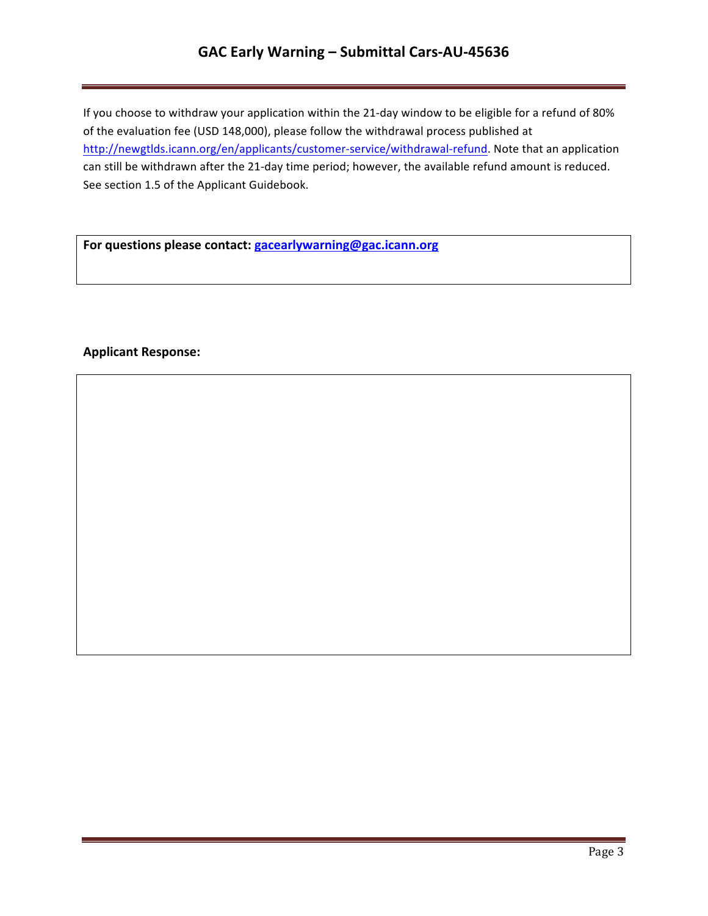# GAC Early Warning - Submittal Cars-AU-45636

If you choose to withdraw your application within the 21-day window to be eligible for a refund of 80% of the evaluation fee (USD 148,000), please follow the withdrawal process published at http://newgtlds.icann.org/en/applicants/customer-service/withdrawal-refund. Note that an application can still be withdrawn after the 21-day time period; however, the available refund amount is reduced. See section 1.5 of the Applicant Guidebook.

For questions please contact: **gacearlywarning@gac.icann.org** 

### **Applicant Response:**